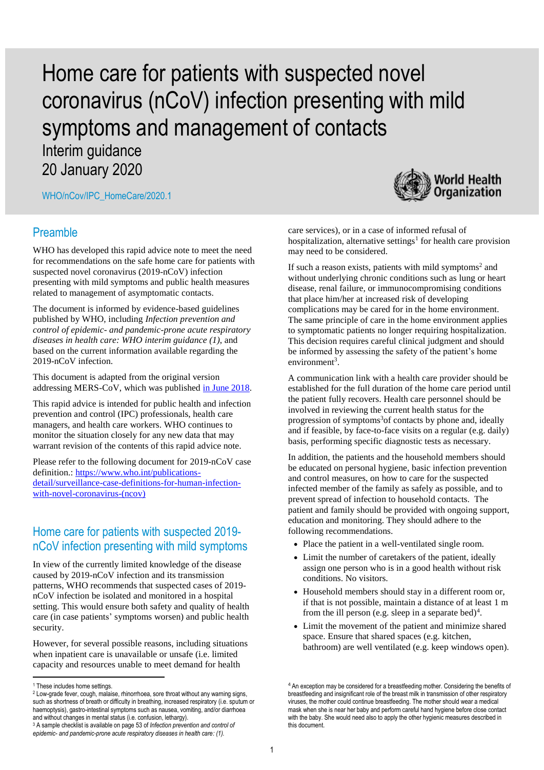# Home care for patients with suspected novel coronavirus (nCoV) infection presenting with mild symptoms and management of contacts

Interim guidance 20 January 2020

WHO/nCov/IPC\_HomeCare/2020.1

#### Preamble

WHO has developed this rapid advice note to meet the need for recommendations on the safe home care for patients with suspected novel coronavirus (2019-nCoV) infection presenting with mild symptoms and public health measures related to management of asymptomatic contacts.

The document is informed by evidence-based guidelines published by WHO, including *Infection prevention and control of epidemic- and pandemic-prone acute respiratory diseases in health care: WHO interim guidance (1)*, and based on the current information available regarding the 2019-nCoV infection.

This document is adapted from the original version addressing MERS-CoV, which was published [in June 2018.](https://apps.who.int/iris/bitstream/handle/10665/272948/WHO-MERS-IPC-18.1-eng.pdf?ua=1)

This rapid advice is intended for public health and infection prevention and control (IPC) professionals, health care managers, and health care workers. WHO continues to monitor the situation closely for any new data that may warrant revision of the contents of this rapid advice note.

Please refer to the following document for 2019-nCoV case definition.[: https://www.who.int/publications](https://www.who.int/publications-detail/surveillance-case-definitions-for-human-infection-with-novel-coronavirus-(ncov))[detail/surveillance-case-definitions-for-human-infection](https://www.who.int/publications-detail/surveillance-case-definitions-for-human-infection-with-novel-coronavirus-(ncov))[with-novel-coronavirus-\(ncov\)](https://www.who.int/publications-detail/surveillance-case-definitions-for-human-infection-with-novel-coronavirus-(ncov))

## Home care for patients with suspected 2019 nCoV infection presenting with mild symptoms

In view of the currently limited knowledge of the disease caused by 2019-nCoV infection and its transmission patterns, WHO recommends that suspected cases of 2019 nCoV infection be isolated and monitored in a hospital setting. This would ensure both safety and quality of health care (in case patients' symptoms worsen) and public health security.

However, for several possible reasons, including situations when inpatient care is unavailable or unsafe (i.e. limited capacity and resources unable to meet demand for health

**.** 



care services), or in a case of informed refusal of hospitalization, alternative settings<sup>1</sup> for health care provision may need to be considered.

If such a reason exists, patients with mild symptoms<sup>2</sup> and without underlying chronic conditions such as lung or heart disease, renal failure, or immunocompromising conditions that place him/her at increased risk of developing complications may be cared for in the home environment. The same principle of care in the home environment applies to symptomatic patients no longer requiring hospitalization. This decision requires careful clinical judgment and should be informed by assessing the safety of the patient's home environment<sup>3</sup>.

A communication link with a health care provider should be established for the full duration of the home care period until the patient fully recovers. Health care personnel should be involved in reviewing the current health status for the progression of symptoms<sup>3</sup> of contacts by phone and, ideally and if feasible, by face-to-face visits on a regular (e.g. daily) basis, performing specific diagnostic tests as necessary.

In addition, the patients and the household members should be educated on personal hygiene, basic infection prevention and control measures, on how to care for the suspected infected member of the family as safely as possible, and to prevent spread of infection to household contacts. The patient and family should be provided with ongoing support, education and monitoring. They should adhere to the following recommendations.

- Place the patient in a well-ventilated single room.
- Limit the number of caretakers of the patient, ideally assign one person who is in a good health without risk conditions. No visitors.
- Household members should stay in a different room or, if that is not possible, maintain a distance of at least 1 m from the ill person (e.g. sleep in a separate bed)<sup>4</sup>.
- Limit the movement of the patient and minimize shared space. Ensure that shared spaces (e.g. kitchen, bathroom) are well ventilated (e.g. keep windows open).

<sup>1</sup> These includes home settings.

<sup>2</sup> Low-grade fever, cough, malaise, rhinorrhoea, sore throat without any warning signs, such as shortness of breath or difficulty in breathing, increased respiratory (i.e. sputum or haemoptysis), gastro-intestinal symptoms such as nausea, vomiting, and/or diarrhoea and without changes in mental status (i.e. confusion, lethargy).

<sup>3</sup> A sample checklist is available on page 53 of *Infection prevention and control of epidemic- and pandemic-prone acute respiratory diseases in health care: (1).*

<sup>&</sup>lt;sup>4</sup> An exception may be considered for a breastfeeding mother. Considering the benefits of breastfeeding and insignificant role of the breast milk in transmission of other respiratory viruses, the mother could continue breastfeeding. The mother should wear a medical mask when she is near her baby and perform careful hand hygiene before close contact with the baby. She would need also to apply the other hygienic measures described in this document.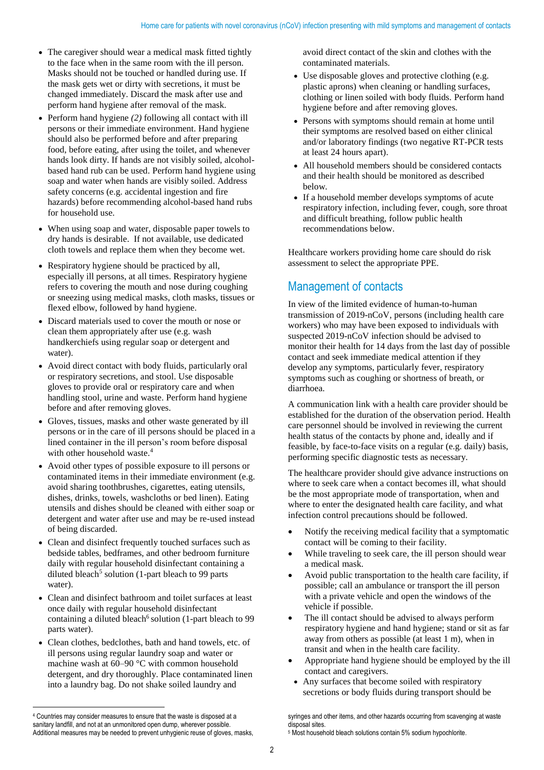- The caregiver should wear a medical mask fitted tightly to the face when in the same room with the ill person. Masks should not be touched or handled during use. If the mask gets wet or dirty with secretions, it must be changed immediately. Discard the mask after use and perform hand hygiene after removal of the mask.
- Perform hand hygiene *(2)* following all contact with ill persons or their immediate environment. Hand hygiene should also be performed before and after preparing food, before eating, after using the toilet, and whenever hands look dirty. If hands are not visibly soiled, alcoholbased hand rub can be used. Perform hand hygiene using soap and water when hands are visibly soiled. Address safety concerns (e.g. accidental ingestion and fire hazards) before recommending alcohol-based hand rubs for household use.
- When using soap and water, disposable paper towels to dry hands is desirable. If not available, use dedicated cloth towels and replace them when they become wet.
- Respiratory hygiene should be practiced by all, especially ill persons, at all times. Respiratory hygiene refers to covering the mouth and nose during coughing or sneezing using medical masks, cloth masks, tissues or flexed elbow, followed by hand hygiene.
- Discard materials used to cover the mouth or nose or clean them appropriately after use (e.g. wash handkerchiefs using regular soap or detergent and water).
- Avoid direct contact with body fluids, particularly oral or respiratory secretions, and stool. Use disposable gloves to provide oral or respiratory care and when handling stool, urine and waste. Perform hand hygiene before and after removing gloves.
- Gloves, tissues, masks and other waste generated by ill persons or in the care of ill persons should be placed in a lined container in the ill person's room before disposal with other household waste.<sup>4</sup>
- Avoid other types of possible exposure to ill persons or contaminated items in their immediate environment (e.g. avoid sharing toothbrushes, cigarettes, eating utensils, dishes, drinks, towels, washcloths or bed linen). Eating utensils and dishes should be cleaned with either soap or detergent and water after use and may be re-used instead of being discarded.
- Clean and disinfect frequently touched surfaces such as bedside tables, bedframes, and other bedroom furniture daily with regular household disinfectant containing a diluted bleach<sup>5</sup> solution (1-part bleach to 99 parts water).
- Clean and disinfect bathroom and toilet surfaces at least once daily with regular household disinfectant containing a diluted bleach<sup>6</sup> solution (1-part bleach to 99 parts water).
- Clean clothes, bedclothes, bath and hand towels, etc. of ill persons using regular laundry soap and water or machine wash at 60–90 °C with common household detergent, and dry thoroughly. Place contaminated linen into a laundry bag. Do not shake soiled laundry and

1

avoid direct contact of the skin and clothes with the contaminated materials.

- Use disposable gloves and protective clothing (e.g. plastic aprons) when cleaning or handling surfaces, clothing or linen soiled with body fluids. Perform hand hygiene before and after removing gloves.
- Persons with symptoms should remain at home until their symptoms are resolved based on either clinical and/or laboratory findings (two negative RT-PCR tests at least 24 hours apart).
- All household members should be considered contacts and their health should be monitored as described below.
- If a household member develops symptoms of acute respiratory infection, including fever, cough, sore throat and difficult breathing, follow public health recommendations below.

Healthcare workers providing home care should do risk assessment to select the appropriate PPE.

# Management of contacts

In view of the limited evidence of human-to-human transmission of 2019-nCoV, persons (including health care workers) who may have been exposed to individuals with suspected 2019-nCoV infection should be advised to monitor their health for 14 days from the last day of possible contact and seek immediate medical attention if they develop any symptoms, particularly fever, respiratory symptoms such as coughing or shortness of breath, or diarrhoea.

A communication link with a health care provider should be established for the duration of the observation period. Health care personnel should be involved in reviewing the current health status of the contacts by phone and, ideally and if feasible, by face-to-face visits on a regular (e.g. daily) basis, performing specific diagnostic tests as necessary.

The healthcare provider should give advance instructions on where to seek care when a contact becomes ill, what should be the most appropriate mode of transportation, when and where to enter the designated health care facility, and what infection control precautions should be followed.

- Notify the receiving medical facility that a symptomatic contact will be coming to their facility.
- While traveling to seek care, the ill person should wear a medical mask.
- Avoid public transportation to the health care facility, if possible; call an ambulance or transport the ill person with a private vehicle and open the windows of the vehicle if possible.
- The ill contact should be advised to always perform respiratory hygiene and hand hygiene; stand or sit as far away from others as possible (at least 1 m), when in transit and when in the health care facility.
- Appropriate hand hygiene should be employed by the ill contact and caregivers.
- Any surfaces that become soiled with respiratory secretions or body fluids during transport should be

syringes and other items, and other hazards occurring from scavenging at waste disposal sites.

<sup>4</sup> Countries may consider measures to ensure that the waste is disposed at a sanitary landfill, and not at an unmonitored open dump, wherever possible. Additional measures may be needed to prevent unhygienic reuse of gloves, masks,

<sup>5</sup> Most household bleach solutions contain 5% sodium hypochlorite.